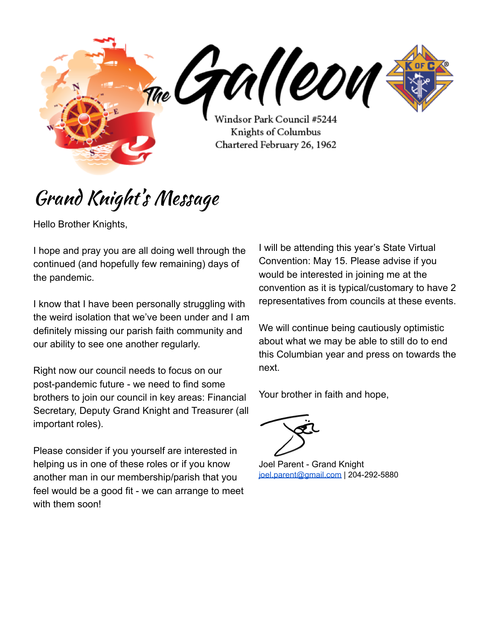me GAM (COM Windsor Park Council #5244 Knights of Columbus Chartered February 26, 1962

# Grand Knight' s Message

Hello Brother Knights,

I hope and pray you are all doing well through the continued (and hopefully few remaining) days of the pandemic.

I know that I have been personally struggling with the weird isolation that we've been under and I am definitely missing our parish faith community and our ability to see one another regularly.

Right now our council needs to focus on our post-pandemic future - we need to find some brothers to join our council in key areas: Financial Secretary, Deputy Grand Knight and Treasurer (all important roles).

Please consider if you yourself are interested in helping us in one of these roles or if you know another man in our membership/parish that you feel would be a good fit - we can arrange to meet with them soon!

I will be attending this year's State Virtual Convention: May 15. Please advise if you would be interested in joining me at the convention as it is typical/customary to have 2 representatives from councils at these events.

We will continue being cautiously optimistic about what we may be able to still do to end this Columbian year and press on towards the next.

Your brother in faith and hope,

Joel Parent - Grand Knight [joel.parent@gmail.com](mailto:joel.parent@gmail.com) | 204-292-5880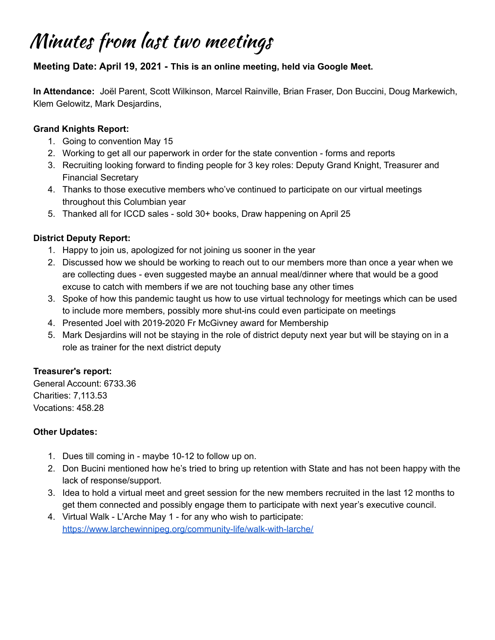### Minutes from last two meetings

#### **Meeting Date: April 19, 2021 - This is an online meeting, held via Google Meet.**

**In Attendance:** Joël Parent, Scott Wilkinson, Marcel Rainville, Brian Fraser, Don Buccini, Doug Markewich, Klem Gelowitz, Mark Desjardins,

#### **Grand Knights Report:**

- 1. Going to convention May 15
- 2. Working to get all our paperwork in order for the state convention forms and reports
- 3. Recruiting looking forward to finding people for 3 key roles: Deputy Grand Knight, Treasurer and Financial Secretary
- 4. Thanks to those executive members who've continued to participate on our virtual meetings throughout this Columbian year
- 5. Thanked all for ICCD sales sold 30+ books, Draw happening on April 25

### **District Deputy Report:**

- 1. Happy to join us, apologized for not joining us sooner in the year
- 2. Discussed how we should be working to reach out to our members more than once a year when we are collecting dues - even suggested maybe an annual meal/dinner where that would be a good excuse to catch with members if we are not touching base any other times
- 3. Spoke of how this pandemic taught us how to use virtual technology for meetings which can be used to include more members, possibly more shut-ins could even participate on meetings
- 4. Presented Joel with 2019-2020 Fr McGivney award for Membership
- 5. Mark Desjardins will not be staying in the role of district deputy next year but will be staying on in a role as trainer for the next district deputy

### **Treasurer's report:**

General Account: 6733.36 Charities: 7,113.53 Vocations: 458.28

### **Other Updates:**

- 1. Dues till coming in maybe 10-12 to follow up on.
- 2. Don Bucini mentioned how he's tried to bring up retention with State and has not been happy with the lack of response/support.
- 3. Idea to hold a virtual meet and greet session for the new members recruited in the last 12 months to get them connected and possibly engage them to participate with next year's executive council.
- 4. Virtual Walk L'Arche May 1 for any who wish to participate: <https://www.larchewinnipeg.org/community-life/walk-with-larche/>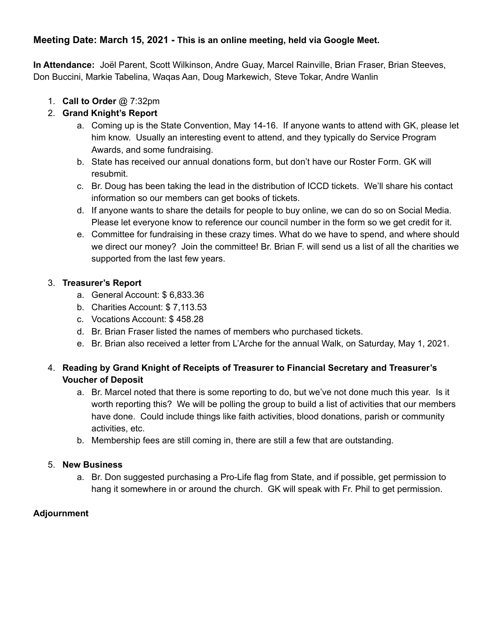### **Meeting Date: March 15, 2021 - This is an online meeting, held via Google Meet.**

**In Attendance:** Joël Parent, Scott Wilkinson, Andre Guay, Marcel Rainville, Brian Fraser, Brian Steeves, Don Buccini, Markie Tabelina, Waqas Aan, Doug Markewich, Steve Tokar, Andre Wanlin

1. **Call to Order** @ 7:32pm

### 2. **Grand Knight's Report**

- a. Coming up is the State Convention, May 14-16. If anyone wants to attend with GK, please let him know. Usually an interesting event to attend, and they typically do Service Program Awards, and some fundraising.
- b. State has received our annual donations form, but don't have our Roster Form. GK will resubmit.
- c. Br. Doug has been taking the lead in the distribution of ICCD tickets. We'll share his contact information so our members can get books of tickets.
- d. If anyone wants to share the details for people to buy online, we can do so on Social Media. Please let everyone know to reference our council number in the form so we get credit for it.
- e. Committee for fundraising in these crazy times. What do we have to spend, and where should we direct our money? Join the committee! Br. Brian F. will send us a list of all the charities we supported from the last few years.

#### 3. **Treasurer's Report**

- a. General Account: \$ 6,833.36
- b. Charities Account: \$ 7,113.53
- c. Vocations Account: \$ 458.28
- d. Br. Brian Fraser listed the names of members who purchased tickets.
- e. Br. Brian also received a letter from L'Arche for the annual Walk, on Saturday, May 1, 2021.

#### 4. **Reading by Grand Knight of Receipts of Treasurer to Financial Secretary and Treasurer's Voucher of Deposit**

- a. Br. Marcel noted that there is some reporting to do, but we've not done much this year. Is it worth reporting this? We will be polling the group to build a list of activities that our members have done. Could include things like faith activities, blood donations, parish or community activities, etc.
- b. Membership fees are still coming in, there are still a few that are outstanding.

#### 5. **New Business**

a. Br. Don suggested purchasing a Pro-Life flag from State, and if possible, get permission to hang it somewhere in or around the church. GK will speak with Fr. Phil to get permission.

### **Adjournment**